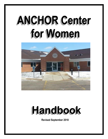# **ANCHOR Center** for Women



## Handbook

**Revised September 2018**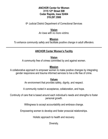### **ANCHOR Center for Women 3115 12th Street SW Cedar Rapids, Iowa 52404 319.297.3500**

6<sup>th</sup> Judicial District Department of Correctional Services

#### **Vision** *An Iowa with no more victims.*

## **Mission**

*To enhance community safety and facilitate positive change in adult offenders.*

## **ANCHOR Center Women's Facility**

## **Vision**

A community free of crimes committed by and against women.

## **Mission**

A collaborative approach to empower women to make positive changes by integrating gender responsive and trauma informed services to live a life free of crime.

## **Values**

An environment that provides safety, dignity, and respect.

A community rooted in acceptance, collaboration, and hope.

Continuity of care that is based around each individual's needs and strengths to foster personal growth.

Willingness to accept accountability and embrace change.

Empowering women to develop and foster prosocial relationships.

Holistic approach to health and recovery.

Diversity.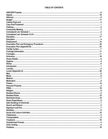#### TABLE OF CONTENTS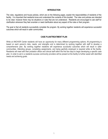#### **INTRODUCTION**

The rules, regulations and house policies, which are on the following pages, explain the responsibilities of residents of the facility. It is important that residents know and understand the contents of this booklet. The rules and policies are intended to be clear; however there may be situations or rules that are not understood. Residents are encouraged to ask staff for clarification whenever they feel uncertain or need clarification about any aspect of the rules or their program.

The goal is that all residents successfully complete the program. By working together residents will experience successful outcomes which will result in safer communities.

#### **CASE PLAN/TREATMENT PLAN**

While at ANCHOR Center residents will have an opportunity for many different programming options. All programming is based on each person's risks, needs, and strengths and is determined by working together with staff to develop a comprehensive plan. By working together residents will experience successful outcomes which will result in safer communities. Attending groups, completing assignments, and being gainfully employed is required while at the facility. Residents will meet with their probation officer and clinical staff within the first two days to begin developing a specific case plan. In order to aid in a residents success community providers will be present at the facility to further assist with identified needs and achieving goals.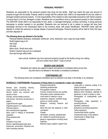#### **PERSONAL PROPERTY**

Residents are responsible for the personal property they bring into the facility. Staff may restrict the type and amount of property brought into the facility. Property needs to comply with the outlined rules. Staff is not responsible for any lost, stolen or damaged resident personal property. It is the responsibility of the resident to take reasonable precautions with his/her property to ensure that it is not lost, damaged or stolen. Residents are not permitted to lend or give personal property to other residents. The ANCHOR Center staff is not responsible for lost, stolen, or damaged belongings. Lending, borrowing, or giving personal belongings to another resident is not permitted. Residents who are returned to jail or placed on escape will have their belongings returned to the individual(s) listed on the inventory sheet, with proper identification. ANCHOR Center staff will attempt to contact this person(s) to arrange release of personal belongings. Personal property will be held for thirty (30) days and then disposed of.

#### **The following items are allowed in the facility**:

Personal toiletries (shampoo, toothpaste, toothbrush, comb, deodorant, razor, soap and soap holder) Small hygiene bag or kit Hair dryer Hot tools Alarm clock / Small clock radio Small to medium bag such as a backpack One see through water bottle

> Upon arrival, residents may have personal property brought to the facility during non-visiting and non-curfew hours within 7 days of arrival.

#### **SEARCH AND SEIZURE**

Residents and visitors are subject to search and seizure of contraband items at any time. Any item that is not allowed in the facility is considered contraband.

#### **CONTRABAND LIST**

The following items are considered contraband and not allowed to be kept in the facility or by residents.

#### **SCHEDULE I CONTRABAND: Possession of these items is considered a major rule violation**

Aerosol cans (including shaving cream, hairspray or perfume, etc.) Alcohol and/or any products with alcohol in them Animals, animal related products Cell phones, cell phone accessories or pagers Cigars/Flavored cigars Cigarette papers (i.e. ZigZag papers) Chewing tobacco Non-manufactured cigarettes Items used in making of homemade cigarettes Drug paraphernalia Pipes Inhalants of any kind Electric cigarettes/pipes/vape pens Explosives, ammunition, fireworks and other incendiary devices

Financial Instruments Gambling paraphernalia Pornographic material Incense, incense burners and candles Information and/or materials which could assist in making or using explosives, weapons, synthetic drugs, poisons or similar articles Weapons, including firearms and knives Items that look like weapons or other contraband Vinegar Information, symbols, paraphernalia, etc. related to unauthorized groups, gangs or organizations including racist materials Matches/ Zippo Lighters/ Lighter Fluid

Loose pills or medicine outside of its original container Material which depicts harm to others Material which threatens, attempts to blackmail, or which is written in code Photographs of nude/partially nude persons Photography, video equipment or recording devices Synthetic substances Substance use testing equipment Tattoo equipment Unauthorized facility supplies Unauthorized keys or key patterns Unauthorized or illegal drugs Urine containers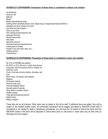#### **SCHEDULE II CONTRABAND: Possession of these items is considered a medium rule violation**

Air fresheners Aluminum foil **Balloons Bleach** Breath strips/whitening strips Clothing which advertises alcohol, bars, illegal drugs or inappropriate sexual reference Detergent and dryer sheets of any kind Eye drops and eye droppers Glue (in any form) Hair coloring accessories/perm kits Hydrogen Peroxide Musical instruments Nail polish Nail polish remover Personal locking containers/devices Potted plants or flowers Powder in any form (foot, baby, etc.) Rubbing alcohol Tools/scissors

#### **SCHEDULE III CONTRABAND: Possession of these items is considered a minor rule violation**

No TVs or DVD/Blu-ray players No DVD's or CD's, Blu-ray's, or flash drive devices Computers/ Word Processors/ PDA's/ Tablets/ etc. Extension cords Food or food service items (dishes, silverware, etc) Gum Boom boxes, CD players with speakers **Magnets** Permanent markers Personal trash cans Personal bedding/ Pillows Sexually explicit materials Shoe polish or sneaker cleaner Stuffed animals Video games/all gaming devices Wallet Chains Battery chargers

These lists are not all inclusive. Other items may be added to this list by staff. If additional items are added, they will be posted on the resident bulletin board. All confiscated contraband will be bagged and dated by ANCHOR Center staff. If contraband is not needed for legal or disciplinary proceedings, you will have two (2) weeks to remove the items from the ANCHOR Center or the items will be disposed of. Some items (such as cell phone or credit cads) may be held until you discharge from the program.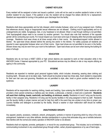#### **CABINET KEY/LOCK**

Every resident will be assigned a locker and issued a padlock. Locks will not be used on another resident's locker or lent to another resident for any reason. If the padlock is lost, the resident will be charged five dollars (\$5.00) for a replacement. Resident are responsible for turning in the padlock upon discharge from the facility.

#### **CLOTHING**

Residents shall dress appropriately and be fully dressed, which includes footwear, when out of your assigned room. Clothing that references alcohol, drugs or inappropriate sexual references are not allowed. Clothing must fit appropriately and so no undergarments are visible. Sunglasses, hats, or any headwear is not allowed. Sheer or see through clothing is not permitted. Tank tops/spaghetti straps need to be covered by another garment. You should also note that members of the opposite gender will be conducting eye counts. For mutual respect you must wear some type of sleeping attire that provides appropriate coverage. Residents must wear shoes at all times except while in their rooms. No sleeveless/cropped t-shirts allowed in kitchen. No open-toed shoes allowed behind the serving line and/or in the kitchen. For safety purposes all residents are required to wear appropriate footwear when out of their rooms. Open toed shoes are not permitted to be worn in the facility. Shower shoes may only be worn from your room to the bathroom. Open toed shoes can be worn when leaving the building for pass or furlough.

#### **EDUCATION**

Residents who do not have a HiSET (GED) or high school diploma are expected to work on their education while in the ANCHOR Center, if deemed appropriate by your PO. Educational services may be offered on site or may require utilizing an agency in the community.

#### **HYGIENE**

Residents are expected to maintain good personal hygiene habits, which includes: showering, wearing clean clothing and brushing teeth. Showers are to be taken daily. Teeth should be brushed at least two times daily. Each resident is responsible for their own hair care and grooming. Residents are not permitted to style, alter, braid or groom another resident's hair or eyebrows.

#### **LAUNDRY**

Residents will be responsible for washing clothing, towels and bedding. Upon entering the ANCHOR Center residents will be provided a linen packet containing a mattress pad, two sheets, a pillowcase, a blanket, a towel and a washcloth. **Residents will wash their clothing, towels, washcloth, and bedding, at minimum, weekly**. Residents in A and C wing use the laundry facility in their assigned wing. Residents in B wing use the laundry facilities in the wing assigned to them by staff. Residents use the laundry facility in proper manner and ask for help from staff in the event they are unclear at any time on proper use. Laundry facilities and detergent is provided by the facility. Should a washer or dryer malfunction staff should be notified immediately.

#### **UNAUTHORIZED GROUPS**

Any apparel, jewelry, accessory, notebook, artwork, photographs, symbols or manner of grooming which by virtue of its color, arrangement, trademark or any other attribute, denotes memberships in a group that advocates drug use or exhibits behaviors that interfere with the normal and orderly operation of ANCHOR Center is not allowed.

Residents shall not originate, promote, participate in, or recruit for any unauthorized group. This includes, but is not limited to, communicating involvement in any unauthorized group through written, verbal, physical appearance or by use of hand signs.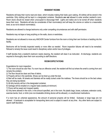#### **RESIDENT ROOMS**

Residents will keep their rooms neat and clean, which includes making their beds upon waking. All clothes will be stored in the wardrobe. Dirty clothing will be kept in a designated container. Residents **are not** allowed to enter another resident's room. Room doors should be closed when unoccupied to discourage theft. Lights and radios are to be turned off when residents leave their room. Residents will also be considerate of their roommate(s) and will keep the volume on radios to a reasonable level, so as not to disturb roommate(s).

Residents are allowed to change bedrooms only under compelling circumstances and with staff permission.

Residents may not tape or hang anything on the walls, doors or wardrobes.

Residents are not allowed to move any ANCHOR Center furniture from the room or bring their own furniture or bedding into the facility.

Bedrooms will be formally inspected weekly or more often as needed. Room inspection failures will need to be remedied. Refusal to remedy the issue could result in disciplinary action and/or loss of privileges.

If staff decides that a resident's bedroom needs cleaning, the resident will clean it as instructed. At discharge, residents are required to thoroughly clean their room according to staff directions.

#### **ROOM EXPECTATIONS**

Expectations for room inspection:

1) The room should be odor free. If a room has an offensive smell, the resident will find out where the smell is coming from and remedy the problem.

2) The floor should be clean and free of debris.

3) Property will be in the wardrobe. Shoes can be lined up under the bed.

4) Bed will be made. All sheets and blankets will be neatly tucked under the mattress. The linens should be on the bed unless they are being laundered.

5) All dirty laundry will be in the designated container.

6) Garbage will be emptied on a regular basis (weekly at minimum)

7) Floors will be swept and mopped weekly

8) Only items allowed in the room, in the amount specified, are in the room. No plastic bags, boxes, suitcases, extension cords, exercise bands, food, or drink (one non-breakable drinking device will be allowed), or unauthorized medications.

If a room has an unkempt appearance, the amount of personal property will be limited. Suitcases or large bags are not allowed. A backpack is acceptable for transporting items and is subject to search at any time. Any other items are subject to search staff discretion.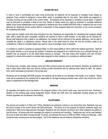#### **HOUSE DETAILS**

In order to have a comfortable and clean living environment all residents will be expected to complete house details as assigned. Every resident is assigned a house detail, which is completed daily for one week. New details are assigned on Thursday morning and are posted at the control center. All residents will be expected to complete a house detail. A resident may be instructed to complete a detail at any time. Based on facility needs you might be expected to complete additional details. Extra house details/duties may be assigned to residents who have violated ANCHOR rules or residents who are on the alternate list. Residents should contact staff for a description of their assigned detail and instruction on the correct procedure for completing their detail.

There might be multiple chore time slots throughout the day. Residents are responsible for completing their assigned details daily. After a detail has been completed, residents are required to inform a staff member, so the detail can be checked off. Should staff determine that a detail is not satisfactory, the resident will be informed of the specific deficiency, and be able to complete the detail in a satisfactory manner. Please refer to the detail sheet for when the time the chore(s) needs to be completed by. Failure to complete details may result in a loss of privileges, level or discipline.

If a resident is unable to complete an assigned detail, it is their responsibility to inform staff at the earliest opportunity. Staff will then decide whether or not to excuse the resident. If residents are assigned to do a detail the day of an overnight furlough, the resident may be required to do the detail before leaving on furlough. This also means that residents who had not been assigned to a detail will be asked to complete tasks assigned to other residents or to complete an additional detail.

#### **ANCHOR PROPERTY**

The dining room, lounges, patio, therapy rooms and other common areas are used by all residents; therefore, all residents will help to keep these areas clean and neat by picking up after themselves and by cleaning when asked by staff. No visitors, food, and/or beverages are allowed in the lounge area.

Residents will not damage ANCHOR property. All residents will be liable for any damage to the facility or its contents. Repair costs will be assessed to the resident that is responsible for damage including excessive wear, which may include the cost of repair or replacement of the damaged item.

#### **SMOKING**

All cigarettes and lighters are to be stored in the assigned lockers in the control center area, near the front door. Smoking is allowed on the smoking patio during designated breaks. Please ask Staff when the designated smoking breaks are. Half smoked cigarettes are not allowed in the building.

#### **TELEPHONES**

Pay phones are located in A Wing and C Wing. Residents are assigned a phone to use during their stay. Residents may use the phone located at the control center with staff permission. The phone is for the purpose of medical, treatment, legal, and employment. Staff cannot take personal messages. Residents are only allowed one phone call if other residents are waiting to use the phone. All phone calls and messages are subject to monitoring and recording. Telephones may not be used between the hours of 2200 and 0600, Sunday through Thursday, and between the hours of 2300 and 0600, Friday and Saturday. Calls during the early morning hours are discouraged. Use of the telephone may be limited by disciplinary sanctions.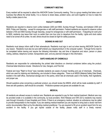#### **COMMUNITY MEETING**

Every resident will be required to attend the ANCHOR Center Community meeting. This is a group meeting that takes care of business that affects the whole facility. It is a chance to share ideas, problem solve, and work together on how to make the facility a better place to live.

#### **FACILITY CURFEW**

Residents are required to observe room curfew between 2200 and 0600, Sunday through Thursday, and between 2300 and 0600, Friday and Saturday, except for emergencies or with staff permission. Federal residents are required to observe curfew between 2100 and 0600 Sunday through Saturday, except for emergencies or with staff permission. If departing for work prior to 0600, residents may leave their room no earlier than one hour prior to departure from the facility. Lights and clock radios need to be turned off at curfew. As well, blinds should be closed at night for safety purposes.

#### **SIGNING IN AND OUT**

Residents must always inform staff of their whereabouts. Residents must sign in and out when leaving ANCHOR Center for any reason. Residents must also be sure staff entered your departure/return in the computer system. Furlough forms need to be completed before leaving and require the following information: day and time of departure and return, person or place visiting, address, telephone number, transportation plan, and any planned changes in this information.

#### **SAFE HANDLING OF CHEMICALS**

Residents are responsible for understanding the printed label directions on chemical containers before using the product. Chemical label directions include: Directions for Use, Dangers, and First Aid.

Federal and Iowa "Right to Know" laws mandate residents are aware of proper handling and use of chemicals. Chemicals, which are used for cleaning and disinfecting, are included in these categories. There is an MSDS (Material Safety Data Sheet) booklet in the staff office, mechanical storage and in the pantry, which lists all chemicals used in the facility, their ingredients, and proper use.

Should questions arise concerning a particular product, you should review the MSDS, which will be made available by staff. If there are still questions, staff should be consulted. Protective eyewear and gloves are available for use.

#### **MEDICAL**

All residents are allowed access to medical care. Residents are expected to pay for their medical treatment. Medical care may be provided onsite or is available in the community, by local providers. Work Release and OWI (321J) residents may receive care through University of Iowa Hospitals and Clinics. If there is an emergency medical, situation an ambulance may be called to provide transportation to the hospital. If you are seeking medical treatment you are required to bring back a doctor visit form and/or documentation filled out by the attending medical practitioner. You are required to fill out an accident report form for any accident in the facility. If you get injured outside of the facility, please notify staff in a timely manner.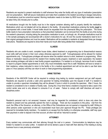#### **MEDICATION**

Residents are required to present medication to staff whenever they enter the facility with any type of medication (prescription and non-prescription). Staff will secure medications and make them available to the resident according to dosage instructions. All medications must be current/not expired. Morning medication needs to be taken by 0830 hours. Night medication needs to be taken thirty (30) minutes prior to curfew.

All medications brought into the facility must be in the original container allowing staff to properly identify the medication. Medications which are not labeled will not be allowed in the facility**.** All prescribed medications entering the facility **must** be accompanied with a travel bottle. A travel bottle should be requested from the pharmacist filling the prescription. The travel bottle needs to have prescription instructions so that prescribed medication can be removed from the facility at any time during the resident's placement, including taking the prescription medication to work, on furlough, etc. All sample medications must be in the sample packaging and accompanied with a doctor's instructions for use. All over the counter medications need to be in their original package/container and must be sealed. Medications will be available to residents at designated times per dosage instructions. Residents are required to show their hands and mouth after being allotted their medication.

#### **ILLNESS**

Residents who are unable to work, complete house duties, attend treatment or programming due to illness/medical reasons must notify staff and remain in their room unless otherwise approved by staff. Furloughs/passes will be allowed for medical appointments only. Furlough/pass privileges will resume when the resident returns to work, treatment or programming. When illness or medication reasons prevent the resident from meeting facility program, treatment or work expectation; the resident loses smoking privileges until able to meet facility program expectations. If a resident is on furlough, becomes ill and is unable to report to program related appointments or work, they must immediately report this to staff. Residents will have to remain in their residence, unless instructed to return to the facility or for a medical appointment and will not be able to use their store pass or 3 hour pass(es) until they can return to work or meet programming expectations.

#### **URINE TESTING**

Residents of the ANCHOR Center will be required to undergo drug testing by random assignment and per staff request. Residents are required to provide a valid urine specimen for testing immediately upon the request of staff. If a resident is unable to provide a specimen immediately they will be allowed 2 hours in which to provide the specimen. After 2 hours, the resident is considered to be in violation of facility rules. During the 2 hour time frame a resident is required to take a seat in the control center area and is only allowed to consume 8 oz. of water. Failure to comply with staff directives will result in disciplinary action.

#### **MAIL**

Resident's personal mail is not censored; however, mail may be inspected for contraband, which is done only when the resident is present and has personally opened the mail or package. There are four exceptions to this policy: mail from the court, the Office of the Governor, an attorney, or the Office of the Ombudsman are not opened or inspected by staff. Writing to other persons under supervision or who are incarcerated must have prior approval through the PO. These privileges are reserved for immediate family members. If a resident is on escape from the facility or is otherwise unavailable, staff may open their paycheck in order to deposit it into their account, all other mail will be "returned to sender."

#### **ATTORNEY**

Every resident may communicate with their attorney through the mail or in person. Communication by telephone may be limited if a resident is on early curfew. A resident will not be denied a pass to meet with their attorney if the meeting is during business hours or was previously scheduled.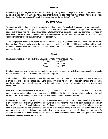#### **RELIGION**

Residents may attend religious services in the community utilizing earned furlough time allowed by the level system. Residents on restriction or on Level one (1) may be allowed to attend services, if approved in advance by the PO. Residents in Levels two (2) to four (4) use earned furlough time, unless given special permission from the PO.

#### **TRANSPORTATION**

Transportation while at the facility is the responsibility of the resident. Residents shall arrange their own transportation. Residents are responsible for verifying that their driver has a valid driver's license, insurance, and registration. The resident is responsible for completing the documentation necessary to have their driver approved. Please allow a minimum of 72 hours for driver to be reviewed, approved, or denied. Residents receiving rides from their approved driver need to be picked up and dropped off in front of the building where drivers can be observed.

Additional options for transportation include the city bus, bicycle, or NTS. NTS generally runs during hours where the city bus is not available. Bicycles can be kept in the bicycle rack in the back of the building. All bicycles must have a bicycle lock. Residents who need a bus pass should see their PO. The expectation is that residents take the most direct route when on passes or furlough.

#### **MEALS**

Meals are provided to the residents of ANCHOR Center at the following scheduled times:

| <b>Breakfast</b> | $0600 - 0800$ |
|------------------|---------------|
| Lunch            | $1200 - 1245$ |
| Dinner           | 1700 – 1730   |

Residents who work overnights may eat breakfast after returning to the facility from work. Exceptions are made for residents who are returning from work or treatment pass after the serving times.

Sack Lunches: If a resident will not be in the facility during meal hours, due to work or other appropriate reasons, a sack lunch is provided, as long as the resident has signed up for one by 1000 hours the day before. If a resident signs up for a sack lunch and discovers later it is not needed, they must turn in their sack lunch and their name will be written on it so that it can be used the next day.

Late Trays: If a resident will not be in the facility during meal hours, due to work or other appropriate reasons, a late tray is provided, as long as the resident has signed up for one by 1000 hours the day before. If a resident signs up for a late tray and discovers later it is not needed, they must eat the late tray instead of eating off of the serving line.

Residents may not bring in or take out any food or drink with the exception of sack lunches provided by the facility. If a resident is on a furlough during meal time, it is their responsibility to eat. Residents cannot return to the facility and eat a sack lunch or late tray after being on a furlough during meal time. Food and beverages are not allowed outside of the dining area, unless there is staff approval. No food or beverages are allowed in the resident rooms or hallways. Dirty dishes and trash are expected to be placed in the designated receptacles. Residents are expected to clean up after themselves. *All residents must be neat and clean before eating meals. Residents must wear sleeved shirts and shoes (no sandals) when in/behind the serving line and during chores.*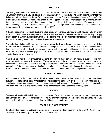#### **VISITATION**

The visiting hours at ANCHOR Center are: 1500 to 1700 Wednesdays, 1900 to 2100 Fridays, 0930 to 1130 and 1400 to 1600 on Saturdays and Sundays. You are allowed to have a maximum of five (5) visitors at a time. Visitors must have prior approval before being allowed visitation privileges. Residents must turn in names of proposed visitors to staff for review/approval/denial. Please allow a minimum of 72 hours for visitors to be reviewed, approved, or denied. When residents are going to have visitors they must notify staff. Visitors will sign in upon entering the building. Children under sixteen (16) years of age are accompanied by an adult. Unaccompanied minors (under 18 years of age) need written parental/guardian approval to visit. Children under 12 years of age must leave the facility by 2000 hours.

Scheduled programing (i.e. groups, treatment) takes priority over visitation. Staff may prohibit individuals who are under supervision, have previously caused problems, or for other justifiable reasons. Residents who are on restriction may have one hour visitation on Sundays during regular visiting hours. Residents who are convicted of sex offenses must go to a designated location during visiting hours if they do not have visitors when minors are present.

Visiting is allowed in the identified areas only, which may include the dining or therapy areas based on availability. No visiting is allowed on the sides at the building, the patio area, the lounge, or inside a motor vehicle. Residents cannot walk visitors to their cars. Residents will be allowed a brief embrace and/or kiss at the start and end of the visit only. Holding hands, which will be in view at all times, is the only physical contact allowed. Visitors are subject to searches. If you have a visitor during visitation hours, you cannot smoke.

Visitors are expected to conduct themselves appropriately. Staff will ask visitors who are unruly, disruptive, or who have consumed alcohol to leave facility premises. Visitors are expected to be appropriately dressed, which includes proper underclothing. Suggestive or offensive clothing is not allowed. Residential staff will determine whether the attire is appropriate. Visitors are not allowed to bring food or drink into the facility. During visiting hours visitors take precedence over rooms that are used for visitation. Please refer to the visitation handout for additional rules and/or guidelines of visitation.

#### **RESTRICTED AREAS**

Certain areas of the facility are restricted. Restricted areas include: another resident's room, room doorway, unassigned bathroom, behind the control desk, in the residential office (unless with staff), pantry or kitchen (unless with staff permission), smoking patio during non-designated times, outdoors (unless with staff permission). Residents are to check out before going outside for recreation. Hallways are quiet zones. Do not gather or congregate in bathrooms or laundry areas.

#### **TREATMENT**

Treatment will be offered both in house and in the community. Where you receive treatment and the type of treatment you receive will be based on needs identified by you, your PO, and the treatment team. Successful completion of the ANCHOR Center residential program includes participation in individualized treatment programming.

#### **SOCIAL AND LEISURE ACTIVITIES**

Residents will be expected to participate in social, leisure and service project activities offered at the ANCHOR Center. These activities will be an opportunity to use free time in a positive manner.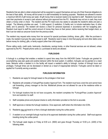#### **BUDGET**

Residents that are able to obtain employment will be expected to support themselves and pay all of their financial obligations to the best of their ability. All money will be turned in to staff immediately for banking purposes. Residents are allowed to receive a maximum \$35.00 of gift money per week. All gift money that is received needs to be reported to staff. Residents must never cash their paychecks or accept a cash advance without prior approval from the PO. Residents may not turn in cash; they must obtain a money order or check. The resident and the PO meet every two weeks to calculate the resident's debts and plan a budget. The following priorities are used: 1) child support; 2) restitution; 3) facility rent, to include medication fees; 4) other debts; and 5) personal. The resident will receive a check for personal expenses in accordance with her budgeting plan. Resident must report to staff the current amount of money they have on their person, before receiving their budget check, so that it can be noted as carryover funds from the previous week.

The resident may request extra money from her account for special purchases (clothing, shoes, gifts). After the purchase is made, the resident must give the sales receipt to staff. Residents need to keep in mind that paying rent and other debts come before money for clothing, gifts, or family support (other than child support).

Phone calling cards, credit cards, bankcards, checkbooks, savings books, or other financial services are not allowed, unless approved by the PO. Prepaid phone cards (i.e. purchased at store) are allowed.

#### **FURLOUGHS**

A furlough is a privilege that enables a resident to spend time away from the ANCHOR Center. Furloughs are granted for accomplishing case plan goals and positive behavior within the level system. In addition, furloughs can be granted on a need basis. Behavior while a resident is in the facility will impact a resident's ability to furlough, number of furlough hours and privileges. Furlough times can be decreased or denied as a result of inappropriate behavior. Furloughs cannot be taken or applied for if currently serving a sanction.

#### **FURLOUGH INFORMATION**

- 1. Residents can apply for furlough based on the privileges in their level.
- 2. Residents will complete a Furlough/Pass location Approval Form. The resident must have a land line and cannot have call forwarding, privacy manager on the line. Mobile/cell phones are not allowed for use at the residence while on furlough.
- 3. For furlough locations that do not have occupants, the resident completes the "Furlough/Pass Location Approval" form and submits it to staff.
- 4. Staff completes phone and physical checks to verify information provided on the form is accurate.
- 5. Staff approves or denies the furlough residence. Once approved, staff enters the information into ICON..
- 6. Residents may not travel to or from a furlough destination during the curfew period.
- 7. A resident on an overnight furlough must be at his approved destination during the curfew period. Staff must approve traveling during the curfew period.
- 8. The furlough week begins on Friday at 6:00 a.m. (0600) and goes through Thursday at 10:00 p.m. (2200) of the following week.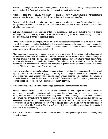- 9. Application for furlough will need to be submitted by curfew of 10:00 p.m. (2200) on Tuesdays. The application will be reviewed by the PO on Wednesdays and will then be reviewed, approved, and/or denied.
- 10. All furloughs begin and end at ANCHOR Center. For example, going from work, treatment or other appointment outside of the facility, to furlough is prohibited. Any exceptions must be approved by the PO.
- 11. The resident will be allowed to maintain up to two (2) approved private residences on file. Changing, deleting, or adding furlough residences (more than two), will be at the discretion of the PO. A residence that has been removed will not be later re-approved.
- 12. Staff may set appropriate special conditions for furloughs as necessary. Staff has the authority to require a resident on furlough to report to the facility, in person, at any time during the furlough for the purpose of obtaining a breath test, urine specimen, visual or any other appropriate reason.
- 13. Should a resident request to furlough outside of Linn County the residence will need to be approved. If staff is not able to check the residence themselves due to location they will contact someone in the requested county to conduct the residence check. Furloughing outside the county is not routinely approved but may be considered based on location, ability to complete checks and with approval of the PO.
- 14. When submitting an application for furlough (overnight and/or out of county), the resident must list the approved address of the residence where furloughing and all locations the resident plans to take passes during the furlough at the time it is turned in to staff. This would include any additional locations, such as: treatment, medical appointments, recreation sites the resident is planning to furlough to. The total of any additional locations (other than the main residence) is two, other than work. Resident may be allowed to go to work while on overnight and/or out of county furlough. This does not count as one of the two locations.
- 15. Residents may delete any location (except main furlough residence) as listed on the furlough request by calling in and reporting deletion to staff. Residents may NOT add anything to an Overnight or Out-of-County furlough once it is turned in/approved. Once a resident has designated a main furlough residence on the Application for Furlough, it cannot be deleted or changed. Residents cannot call ANCHOR Center while on day-off furloughs to go to stores, other sites/residences, etc. These sites MUST be pre-planned and pre-approved.
- 16. Residents must call ANCHOR Center when leaving a residence and when returning to a residence.
- 17. Furlough residence must have a landline phone. Residents cannot use call forwarding or cell phones. Staff must be able to reach the resident by phone immediately during curfew hours. The call waiting function may be used on a primary residence phone. If staff is unable to immediately contact a resident on furlough for curfew check the furlough will be immediately terminated and the resident required to return to the facility. A disciplinary report will be written. A resident must be available for phone checks during non-curfew hours. Staff that conduct phone checks during noncurfew hours; will attempt to contact a resident at the designated location until contact with the resident is made. If contact is not made within 15 minutes of the time staff attempt it, the furlough will be terminated and the resident will be required to return to the facility.
- 18. Residents must call when they reach the furlough location and before leaving the furlough to return to the facility using the landline phone.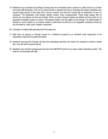- 19. Residents may be allowed the privilege of being away from immediate phone contact at a public area for up to three hours with staff permission. Only one no phone location is allowed each day on furloughs and passes. Residents may request longer periods of time away from a phone, however, this must be in writing with an explanation of why it is necessary. The explanation must include: specific location, times, purpose/needs. These longer passes with no phones are only allowed one time per furlough. Public no phone furlough locations are defined as those which do not guarantee immediate access to a phone. The specific location must be stated on the furlough. The determination of whether or not the location is a no phone location is determined by staff and is not negotiable. Examples include but are not limited to: malls, parks, theaters, restaurants.
- 20. Furloughs to hotels/motels generally will not be approved.
- 21. Staff does not approve a Furlough request to a residence occupied by an individual under supervision to the Department unless the PO grants permission.
- 22. Residents returning from furlough will have their belongings searched, and need to be prepared to submit a breath test, urine test and/or personal search.
- 23. Residents may end their furlough early and return the ANCHOR Center for any reason without disciplinary action. This must be communicated with staff.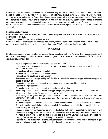#### **PASSES**

Passes are similar to furloughs, with the difference being that they are shorter in duration and limited to non-curfew hours. Passes are used to leave the facility for the purposes of: treatment, religious activities, appointments, work, meetings, shopping, activities, and recreation. Passes, like furloughs, are an earned privilege based on positive behavior. Passes need to be completed in kiosk 24 hours prior to departure, so that they may be reviewed, approved and/or denied. Permanent passes can be requested for on-going activities such as treatment groups, AA/NA meetings, etc. Passes need to include a specific address, phone number, and mode of transportation. Passes without a phone are available but are limited based on your level.

Passes include the following:

**Personal/Store pass**: This is limited to pre-approved locations and pre-established time limits. Some store passes will be with a staff based on the level.

**Three (3) hour pass:** This pass is earned based on level.

**Permanent Passes**: These passes are approved in advance by the PO. This would be utilized for on-going activities that occur on a regular basis, for example: treatment, education/school, AA/NA, religious activities/services etc.

#### **EMPLOYMENT**

Residents are expected to obtain employment as able. This will be determined by the PO. Once determined, expectations will be included in the case plan. Ability to work may change during the course of the residents stay at the ANCHOR Center. Basic employment guidelines include:

- 1. Hours of employment may not interfere with treatment schedules.
- 2. Unless you have a permanent work schedule, you are responsible for having your employer fill out a work schedule on a weekly basis.
- 3. Residents will job seek as approved by staff.
- 4. Residents will not be allowed to work for family members.
- 5. Residents will not be allowed to work for cash.
- 6. Job seeking areas will be approved by staff. Residents may only job seek in the approved areas at approved places of employment.
- 7. Residents may not shop, eat, hang out, or conduct any personal business while job seeking.
- 8. Residents must job seek alone.
- 9. Residents are expected to be appropriately dressed when job seeking.
- 10. Job seeking passes must be applied for and approved prior to job seeking. Job seekers must submit a list of job contacts for the next day for review and approval by staff.
- 11. The following are designated holidays for the purposes of curtailed job seeking activities: New Year's Eve, New Year's Day, Memorial Day, Independence Day, Labor Day, Thanksgiving Day, the day after Thanksgiving, Christmas Eve, Christmas Day.
- 12. Residents will provide a work schedule to staff as soon as they are notified of their upcoming work schedule. The work schedule needs to be employer generated. Residents are responsible for documenting their work hours correctly on a daily basis.
- 13. Paychecks along with paystubs must be turned in to staff so that it can be deposited into banking. You will need to turn in a copy of your paystubs once they become available. If your employer utilizes a pay card, you will need to turn in your pay card to staff once you receive it, so that your pay card can be processed into banking. Cashing your pay checks or utilizing your pay card is not allowed.
- 14. Residents may not quit their employment without prior approval from their PO. If you receive permission to quit your place of employment, you must give them two (2) weeks notice before quitting.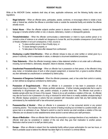#### **RESIDENT RULES**

While at the ANCHOR Center, residents shall obey all laws, applicable ordinances, and the following facility rules and regulations.

- 1. **Illegal behavior** When an offender plans, participates, assists, condones, or encourages others to violate a local, state or federal law, whether the offense is committed inside or outside the residential facility and whether the offense actually occurs.
- 2. **Verbal Abuse** When the offender subjects another person to abusive or defamatory, insolent, or disrespectful language or remarks whether written or oral, or abusive, defamatory, insolent, or disrespectful gestures.
- 3. **Threats/Intimidation** When the offender communicates a determination or intent to injure another person or to commit a crime of violence or an unlawful act dangerous to human life, and the probable consequence of such threat or threats (whether or not such consequence, in fact, occurs) is:
	- a. To place another person in fear of bodily injury; or
	- b. To cause damage to property; or
	- c. To take place in the future after released from confinement.
- 4. **Disobeying a Lawful Order/Directive** When an offender refuses to obey an order (written or verbal) given by a person in authority, which is reasonable in nature, or attempts to circumvent established procedures.
- 5. **False Statements** When the offender knowingly makes a false statement whether or not under oath or affirmation, including, but not limited to, dishonesty, deception, failure to disclose, cheating, etc.
- 6. **Unauthorized Possession/Exchange** When an offender has in possession on their person, in the offender's living area, locker, or immediate place of work or other program assignment, or receives from, or gives to another offender, any item delineated as unauthorized or contraband by district policy.
- 7. **Possession of Dangerous Contraband**  When the offender possesses, used, or has under their control or custody, an item defined as dangerous contraband by district policy.
- 8. **Possession of Drugs/Intoxicants** When an offender is in possession or has been in possession of any unauthorized drug or intoxicant. This includes synthetic substances. It further includes paraphernalia that is used in relationship to drug/intoxicant use, sale, positive urinalysis, or positive blood test. The offender must provide a testable sample within two (2) hours of the request. Failure to do so will constitute a violation of this rule. An offender may also be found to be in possession of a drug or intoxicant for which there is no readily available urinalysis testing if the offender displays symptoms or actions that are consistent with intoxication and/or fails any field sobriety tests administered by the residential staff or law enforcement personnel.
- 9. **Possession/Use of Alcohol** When an offender is in possession of, or has consumed alcohol or any product containing alcohol. This includes results from any manner of testing including but not limited to a positive breath, alcosensor test or an admission of use. Refusal to submit to a test for alcohol use shall constitute a violation of this rule. Offenders are not allowed to enter establishments where alcohol is served without prior staff permission.
- 10. **Abuse of Medication** When an offender fails to follow the prescription or package directions of any medications. An offender shall also be considered in violation of this rule when they give their medication to another person. Medication shall be turned in to staff per district policy.
- 11. **Escape** When an offender is absent from the residential facility without proper authorization for over two hours, or there is probable cause to believe the offender has taken flight or is involved in a criminal offense.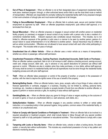- 12. **Out of Place of Assignment** When an offender is not at their designated place of assignment (residential facility, work place, treatment program, furlough, or other authorized leave) and/or fails to use the most direct route or method of transportation. Offenders are responsible for promptly notifying the residential facility staff of any proposed changes in their work schedule or furlough plan and must receive staff approval of all changes.
- 13. **Failing to Secure/Maintain Employment** When an offender fails to actively seek, secure and maintain full-time employment as approved by staff. When an offender jeopardizes employment, quits without staff approval, or is terminated from their job.
- 14. **Sexual Misconduct** When an offender proposes or engages in sexual contact with another person on residential facility property (or premises) or engages in sexual contact at any location with a person who is also a resident of a correctional residential facility. Indecent exposure also constitutes sexual misconduct. This includes, but is not limited to, offensive exposure of the genitals or pubic area in a manner to be seen by another person; gesture of a sexual nature to cause embarrassment or to be offensive to another person. Sexual misconduct may be written as well as verbal communication. Offenders are not allowed to have sexual contact with each other while participating in the program. This includes while on pass or furlough.
- 15. **Unauthorized Use of a Motor Vehicle** When an offender uses a motor vehicle as a means of transportation, whether as a driver or passenger, without staff permission.
- 16. **Unauthorized Possession of Money, Cashing Paycheck, Unauthorized Accounts, Debit Cards or Purchases** When an offender cashes a paycheck, fails to turn in all moneys to staff, obtains a checking account, savings account, credit card, charge account, debit card, pay in advance or any payroll deductions for personal use without staff approval or control. Offenders are also in violation when they make purchases, or incur debts, without staff approval. All money shall be turned in to residential facility staff and all expenditures must be done through the residential facility budgeting process and with prior staff approval.
- 17. **Theft** When an offender takes possession or control of the property of another, or property in the possession of another, with the intent to deprive the rightful owner of the use or benefit of the property.
- 18. **Bartering/Selling Goods** When an offender barters, loans, gives, accepts, sells or buys things of value, enters into financial agreements or contracts, engages in a business, including, but not limited to, clothing, personal items, furnishings, etc., transfers or attempts to transfer or accepts transfer of funds from one offender to another offender; or agrees to perform or receive services or gifts, for anything of value without staff approval.
- 19. **Gambling/Debts, etc.** When an offender plays any game for things of value or wagers anything on the outcome of an event or game; or incurs an unauthorized debt (i.e. cash advances, work debts, etc.).
- 20. **Safety/Sanitation Violation** When an offender engages in any practice contrary to written or verbal safety instruction; or is unsanitary/untidy in their personal hygiene, living quarters, common areas of the residential facility, or smokes in an unauthorized area.
- 21. **Failure to Comply with Special Conditions or Participate in Treatment** When an offender fails to be involved in a required educational or treatment program, which shall include failure to follow through with any special condition imposed by staff or to fully participate in treatment or educational activities. This includes failure to comply with a case plan.
- 22. **Tampering with Locks or Security Items** When an offender locks, unlocks or alters a locking device, fire alarm system, or security item without authorization. This includes any unauthorized possession of a key or key pattern and electronic monitoring devices.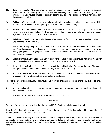- 23. **Damage to Property** When an offender intentionally or negligently causes damage to property of another person, or of the state, such as tampering with electronic, electronic monitoring devices, mechanical, or plumbing devices or fixtures. This also includes damage to property resulting from other misconduct (i.e. fighting, horseplay, theft, disruptive conduct, etc.).
- 24. **Fighting** When an offender engages in a physical altercation including the exchange of blows, shoves, kicks, offensive physical contact, or, if horse playing, the physical contact need not be in anger.
- 25. **Assault** When an offender intentionally causes or threatens to cause injury to another person or applies any physical force or offensive substance (such as feces, urine, saliva, mucous, or any other item) against any person regardless of whether injury occurs, to include sexual assault.
- 26. **Violation of a Condition of Leave or Furlough** When an offender fails to comply with any condition of a leave or furlough from the residential facility.
- 27. **Unauthorized Group/Gang Conduct** When an offender displays or promotes involvement in an unauthorized group/gang through any of the following means: writing, words, physical appearance, and hand signs, symbols, and photographs, possession of group/gang-related materials or association with others known to be affiliated with an unauthorized group/gang.
- 28. **Obstructive/Disruptive Conduct** When an offender interferes with staff duties, or conducts themselves in a manner that disrupts or interferes with the secure and orderly running of the residential facility.
- 29. **Habitual Minor Offender**  When an offender is repeatedly found in violation of non-major violations. The number and types of offenses, and prescribed time frames may be reflected in district policy.
- 30. **Attempt or Complicity** When an offender attempts to commit any of the listed offenses or is involved with others who are committing or attempting to commit any of the listed offenses.
- The following are considered **MEDIUM RULE VIOLATIONS**; circumstances and special exceptions allow staff to determine otherwise:
- 31. Not have contact with other persons incarcerated, or on correctional supervision via correspondence, phone or in person without staff approval.
- 32. Make staff aware of visitors and see that visitors remain in authorized areas.

#### **DISCIPLINE**

When a staff member sees that a resident has violated an ANCHOR Center rule, disciplinary action is taken.

Discipline (Sanctions) will be based on a number of factors to include: type of violation (Major or Minor), past history of violations, nature and circumstances of the violation.

Sanctions for violations will vary from verbal reprimand, loss of privileges, written report, restrictions, for minor violations to incarceration for major violations. For Minor, informal, violations the staff will provide written documentation of the violation and notice will be given to the resident. The notice will advise the resident of the behavior that was in violation of the rules and the sanction.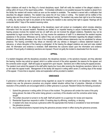Major violations will result in the filing of a formal disciplinary report. Staff will notify the resident of the alleged violation in writing within 24 hours of the report being written. If immediate notification is not possible because the resident is absent from the facility the resident will receive notice as soon as the resident is available. The resident is served with a notification that describes the alleged violations. The resident may waive the 24 hour notice in writing. The resident will be notified of the hearing date and time at least 24 hours prior to the scheduled hearing. The resident may waive their right to be at the hearing in writing. By waiving the right to be present at the hearing the resident is also waiving their right to appeal. Hearings will be conducted within 7 days of the resident receiving notice.

Staff not directly involved in the allegations of the disciplinary report will conduct an investigation which includes obtaining information from the accused resident. Residents are entitled to an impartial hearing to assure fundamental fairness. The hearing process involves the resident and two (2) staff who are not involved the alleged violations. Residents may not be represented by legal counsel at the hearing, but may receive the assistance of staff if it is determined the resident requires assistance in the process. Witnesses can be called if they can provide pertinent information regarding the alleged violations. Residents must identify witnesses at the time of the investigation. Verified witness statements may be substituted for witness presence. The hearing committee may refuse an interview with any witness or disregard a witness statement based on relevance, or where disruption of the hearing is anticipated. At the hearing the alleged violations are read and rules violated cited. All information and evidence is reviewed. Staff determines the outcome based upon the information and evidence provided. If found guilty of violation(s) sanctions are imposed, if found not guilty the incident is deactivated from the record.

#### **APPEAL**

If a resident disagrees with the disciplinary procedure, the disciplinary decision, or the sanctions imposed, and they attended the hearing, he/she may submit an appeal, which is a written account of the action appealed, the reasons for the appeal, and the corrective action sought. Staff will supply an appeal form upon request. Sanctions are in effect during the appeal process. The resident must submit the appeal to the staff within twenty-four hours after receiving the disciplinary sanctions; failure to do so will make the appeal invalid. Management of the facility will respond in writing within seven (7) working days of the receipt of the appeal. If more time is required, notice and explanation will be provided to resident.

#### **GRIEVANCE**

A grievance is defined as real or perceived wrong regarded as cause for complaint and is not disciplinary related. Any resident may use the grievance procedure any program related situation without fear of prejudice. Attempts at informal resolution of the problems are encouraged before a written grievance is pursued. Resident follows the following procedure:

- 1. Submit the grievance in writing within 24 hours of the incident. The grievance will contain the name of the party being grieved, the date of the action being grieved, a summary of the situation and the corrective action being sought.
- 2. The written document is turned in to the staff. Staff will submit it to a supervisor for review and response.
- 3. Residential Supervisor responds in within 10 working days by affirming, modifying, or denying.
- 4. A resident who does not pursue a grievance within the appropriate time frames is considered to have terminated the grievance process.
- 5. Any conditions/sanctions imposed during the grievance process remain in effect during the grievance process.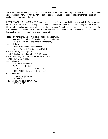#### **PREA**

The Sixth Judicial District Department of Correctional Services has a zero-tolerance policy toward all forms of sexual abuse and sexual harassment. You have the right to be free from sexual abuse and sexual harassment and to be free from retaliation for reporting such incidents.

REPORTING SEXUAL MISCONDUCT Sexual misconduct by staff is prohibited, but it must be reported before action can be taken. Third parties to offenders may report sexual abuse and/or sexual harassment by contacting any staff member, filing a verbal or written report, or assisting an offender with a report. To make sure that sexual misconduct is reported, the Iowa Department of Corrections has several ways for offenders to report confidentially. Offenders or third parties may use the reporting method with which they are most comfortable:

•Tell a staff member you are comfortable discussing the matter with.

As a part of their job, staff is required to report any allegation,

ensure offender safety, and maintain confidentiality.

• Send a letter to:

District Director Bruce Vander Sanden 951 29th Avenue SW Cedar Rapids, IA 52404

- Use the facility grievance process.
- Sixth Judicial District PREA Hotline: 319- 297-3532
- www.iowacbc.org (click on Prison Rape Elimination Act)
- Email: 6th.PREA@iowa.gov
- Send a letter to:

Iowa Ombudsman Office Ola Babcock Miller Building 1112 E. Grand Avenue Des Moines, IA 50319 1-888-426-6283 (toll free) or 515-281-3592

• Riverview Center

info@riverviewcenter.org 1-888-557-0310

• Rape Victim Advocacy Program (RVAP) 1-800-228-1625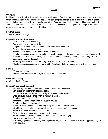#### **LEVELS**

#### **Overview:**

Residents in the facility will actively participate in the levels system. This allows for a measurable assessment of progress toward meeting program expectations and goals. Resident progress through levels is individualized and is based on sustained effort each resident displays toward rehabilitation. Progress is measured based on individual needs and abilities. There are minimum time frames for each level that represent the shortest time to complete. The length of time needed to complete any given level will vary for each Resident.

#### **Level 1: Preparing**

*Anticipated Duration: 10 days* 

#### **Required Steps for Advancement:**

- Learn and follow the rules of facility.
- Free of major rule violation for 10 days.
- Complete house chores in order to maintain facility and room cleanliness.
- Participate in development of case plan.
- Attend all facility appointments with PO, clinicians, and other staff.
- Complete all required assessments (employment, medical, mental health, substance use, etc.) as assigned by PO.
- Initiate insurance coverage and change addresses as it relates to benefits (insurance, social security, DHS, etc.).
- Discuss preliminary discharge plan.
- Proactively address health needs, including taking all medications as prescribed.
- Attend all required group sessions as assigned by PO, which includes in-house or community programming.

#### **Privileges:**

- PO approved passes.
- Furloughs, and designated holidays, up to 6 hours, with PO approval.

#### **Level 2: Developing**

*Anticipated Duration: 3 weeks*

#### **Required Steps for Advancement:**

- Follow facility rules and complete house chores including room cleanliness.
- Demonstrate progress toward case plan goals.
- Obtain suitable employment, as approved by employment specialist or PO.
- Once employed, maintain employment of 72 hours bi-weekly.
- Complete initial budget with PO.
- Attend and appropriately participate in groups as required.
- Complete assignments as required.
- Proactively address health needs, including taking all medications as prescribed.
- Attend individual appointments as required, both within the facility and the community.
- Attend, at minimum, one workshop opportunity.
- Participate in, at minimum, one community service event.
- Attend all community meetings, unless approved to be out of the building by staff.
- Free of formal discipline for 14 days.
- Make timely payments on court obligations, supervision fee, and facility rent consistent with PO approved budget to extent possible.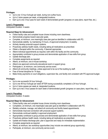#### **Privileges:**

- Up to one 12 hour furlough per week, during non-curfew hours.
- Up to 2 store passes per week, at designated locations.
- Earn up to one 3 hour pass for each week of demonstrated growth (progress on case plans, report free, etc.).

#### **Level 3: Progressing**

*Anticipated Duration: 4 weeks*

#### **Required Steps for Advancement:**

- Follow facility rules and complete house chores including room cleanliness.
- Demonstrate progress toward case plan goals.
- Complete, at minimum, one meaningful case plan goal as identified in collaboration with PO.
- Demonstrate stability by maintaining 72 hours, of approved employment, bi-weekly.
- Actively develop prosocial support systems.
- Proactively address health needs, including taking all medications as prescribed.
- Obtain a therapist within the community, if deemed appropriate.
- Attend individual appointments as required, both within the facility and the community.
- Appropriately contribute to group process and demonstrate application of new skills from group.
- Update discharge plan.
- Complete assignments as required.
- Attend, at minimum, one in-house workshop.
- Attend one approved community educational event or support group.
- Participate in, at minimum, one community service event.
- Attend all community meetings, unless approved to be out of the building by staff.
- Free of formal discipline for 14 days.
- Make timely payments on court obligations, supervision fee, and facility rent consistent with PO approved budget.

#### **Privileges:**

- Up to one successful 24 hour furlough.
- Up to one 48 hour furlough per week AFTER having successfully completed a 24 hour furlough.
- Up to 2 store passes per week at, designated locations.
- Earn up to two 3 hour passes for each week of demonstrated growth (progress on case plans, report free, etc.).

#### **Level 4: Prevailing**

*Anticipated Duration: 6 weeks*

#### **Required Steps for Advancement:**

- Follow facility rules and complete house chores including room cleanliness.
- Completion, at minimum, one meaningful case plan goal as identified in collaboration with PO.
- Reliably schedule, manage, and attend all community and facility based appointments.
- Demonstrate improved connection with prosocial support systems.
- Demonstrate continued stability in approved employment.
- Appropriately contribute to group process and demonstrate application of new skills from group.
- Proactively address health needs, including taking all medications as prescribed.
- Update and finalize discharge plan; plan is approved and ready for immediate implementation.
- Complete assignments as required.
- Attend, at minimum, two workshop opportunities (may include one external group opportunity).
- Participate, at minimum, one community service event.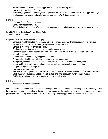- Attend all community meetings unless approved to be out of the building by staff.
- Free of formal discipline for 14 days.
- Make timely payments on court obligations, supervision fee, and facility rent consistent with PO approved budget.
- Initiate process for community benefits such as: food stamps, WIC, Social Security etc.

#### **Privileges:**

- Up to one 72 hour furlough per week.
- Up to 2 store passes per week.
- Earn up to three 3 hour passes for each week of demonstrated growth (progress on case plans, report free, etc.).

#### **Level 5: Thriving (Probation/Parole Clients Only)**

*Anticipated Duration: 4 weeks*

#### **Required Steps for Advancement (Discharge):**

- Continue to reliably schedule, manage, and attend **all** community and facility based appointments, including therapeutic, support, and other meetings important to long term success.
- Continue to meet with PO on time as scheduled.
- Continue to demonstrate engagement with prosocial support systems.
- Continue to address health needs in proactive way via collaboration with providers and reliably taking all medications as prescribed.
- Demonstrate continued stability in approved employment.
- Demonstrate self-sufficiency by following discharge plan as agreed upon.
- Appropriately contribute to group process and demonstrate application of new skills from group.
- Update and finalize discharge plan; plan is approved and ready for immediate implementation.
- Complete assignments as required.
- Free from formal discipline.
- Meet all financial obligations, including payments on court obligations, supervision fee, and facility rent consistent with PO approved budget; as well as pay rent, utilities, and other bills in community in timely manner.
- Call facility with all movements as instructed and answer curfew calls.

#### **Privileges:**

 $\bullet$  Independent living in the community.

Level advancements must be applied for and submitted prior to curfew on Sunday for review by your PO. Should your PO have any questions or feedback they will return the level request so the resident can provide responses and clarification prior to the levels meeting. Level advancement is applied for by using the Application for Level Advancement Form.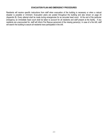#### **EVACUATION PLAN AND EMERGENCY PROCEDURES**

Residents will receive specific instructions from staff when evacuation of the building is necessary or when a natural disaster is possible or imminent. Evacuation plans are posted throughout the building and also shown on page 24 (Appendix B). Every attempt shall be made during emergencies for an accurate head count. At the end of the particular emergency an immediate head count shall be taken to account for all residents and staff present at the facility. If any residents are unaccounted for, staff will inform Fire Rescue personnel of the missing person(s). In case of a fire drill, staff will search the building to assure all residents have participated in the drill.